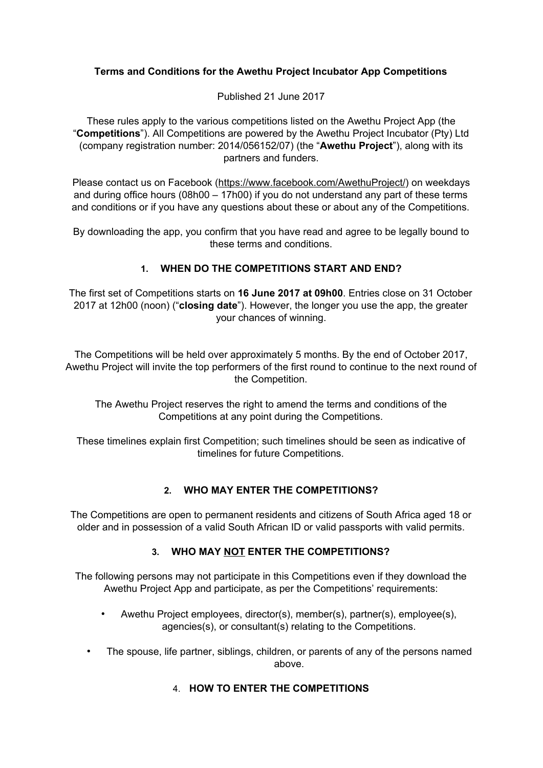# **Terms and Conditions for the Awethu Project Incubator App Competitions**

Published 21 June 2017

These rules apply to the various competitions listed on the Awethu Project App (the "**Competitions**"). All Competitions are powered by the Awethu Project Incubator (Pty) Ltd (company registration number: 2014/056152/07) (the "**Awethu Project**"), along with its partners and funders.

Please contact us on Facebook [\(https://www.facebook.com/AwethuProject/\)](https://www.facebook.com/AwethuProject/) on weekdays and during office hours (08h00 – 17h00) if you do not understand any part of these terms and conditions or if you have any questions about these or about any of the Competitions.

By downloading the app, you confirm that you have read and agree to be legally bound to these terms and conditions.

# **1. WHEN DO THE COMPETITIONS START AND END?**

The first set of Competitions starts on **16 June 2017 at 09h00**. Entries close on 31 October 2017 at 12h00 (noon) ("**closing date**"). However, the longer you use the app, the greater your chances of winning.

The Competitions will be held over approximately 5 months. By the end of October 2017, Awethu Project will invite the top performers of the first round to continue to the next round of the Competition.

The Awethu Project reserves the right to amend the terms and conditions of the Competitions at any point during the Competitions.

These timelines explain first Competition; such timelines should be seen as indicative of timelines for future Competitions.

### **2. WHO MAY ENTER THE COMPETITIONS?**

The Competitions are open to permanent residents and citizens of South Africa aged 18 or older and in possession of a valid South African ID or valid passports with valid permits.

# **3. WHO MAY NOT ENTER THE COMPETITIONS?**

The following persons may not participate in this Competitions even if they download the Awethu Project App and participate, as per the Competitions' requirements:

- Awethu Project employees, director(s), member(s), partner(s), employee(s), agencies(s), or consultant(s) relating to the Competitions.
- The spouse, life partner, siblings, children, or parents of any of the persons named above.

### 4. **HOW TO ENTER THE COMPETITIONS**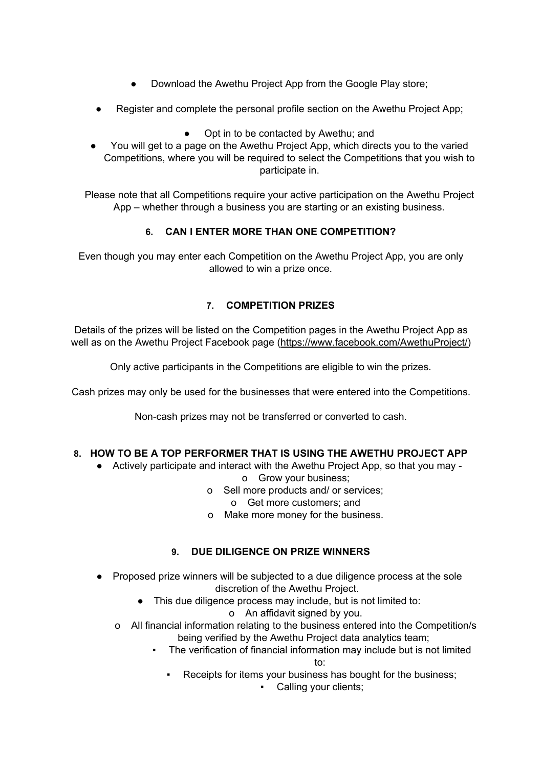- Download the Awethu Project App from the Google Play store;
- Register and complete the personal profile section on the Awethu Project App;
	- Opt in to be contacted by Awethu; and
- **●** You will get to a page on the Awethu Project App, which directs you to the varied Competitions, where you will be required to select the Competitions that you wish to participate in.

Please note that all Competitions require your active participation on the Awethu Project App – whether through a business you are starting or an existing business.

# **6. CAN I ENTER MORE THAN ONE COMPETITION?**

Even though you may enter each Competition on the Awethu Project App, you are only allowed to win a prize once.

# **7. COMPETITION PRIZES**

Details of the prizes will be listed on the Competition pages in the Awethu Project App as well as on the Awethu Project Facebook page [\(https://www.facebook.com/AwethuProject/\)](https://www.facebook.com/AwethuProject/)

Only active participants in the Competitions are eligible to win the prizes.

Cash prizes may only be used for the businesses that were entered into the Competitions.

Non-cash prizes may not be transferred or converted to cash.

# **8. HOW TO BE A TOP PERFORMER THAT IS USING THE AWETHU PROJECT APP**

● Actively participate and interact with the Awethu Project App, so that you may -

### o Grow your business;

o Sell more products and/ or services;

o Get more customers; and

o Make more money for the business.

# **9. DUE DILIGENCE ON PRIZE WINNERS**

- Proposed prize winners will be subjected to a due diligence process at the sole discretion of the Awethu Project.
	- This due diligence process may include, but is not limited to:
		- o An affidavit signed by you.
	- o All financial information relating to the business entered into the Competition/s being verified by the Awethu Project data analytics team;
		- The verification of financial information may include but is not limited to:
			- Receipts for items your business has bought for the business;
				- Calling your clients;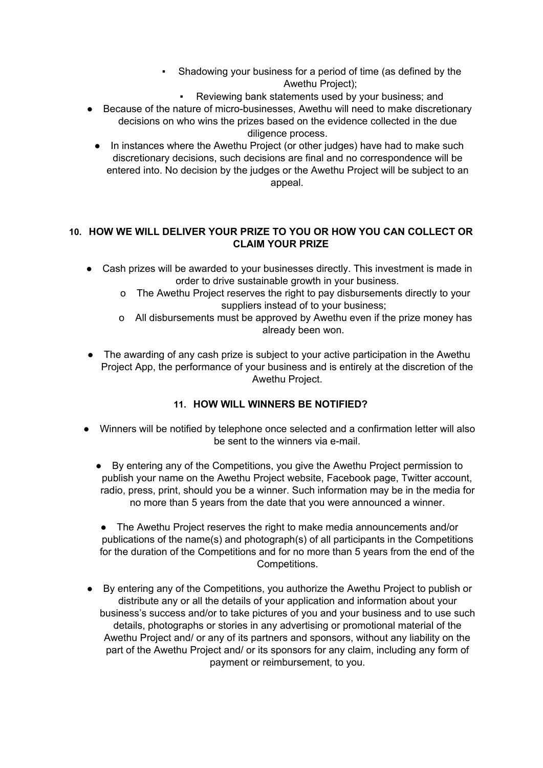- Shadowing your business for a period of time (as defined by the Awethu Project);
	- Reviewing bank statements used by your business; and
- Because of the nature of micro-businesses, Awethu will need to make discretionary decisions on who wins the prizes based on the evidence collected in the due diligence process.
	- In instances where the Awethu Project (or other judges) have had to make such discretionary decisions, such decisions are final and no correspondence will be entered into. No decision by the judges or the Awethu Project will be subject to an appeal.

### **10. HOW WE WILL DELIVER YOUR PRIZE TO YOU OR HOW YOU CAN COLLECT OR CLAIM YOUR PRIZE**

- Cash prizes will be awarded to your businesses directly. This investment is made in order to drive sustainable growth in your business.
	- o The Awethu Project reserves the right to pay disbursements directly to your suppliers instead of to your business;
	- o All disbursements must be approved by Awethu even if the prize money has already been won.
- The awarding of any cash prize is subject to your active participation in the Awethu Project App, the performance of your business and is entirely at the discretion of the Awethu Project.

# **11. HOW WILL WINNERS BE NOTIFIED?**

- Winners will be notified by telephone once selected and a confirmation letter will also be sent to the winners via e-mail.
	- By entering any of the Competitions, you give the Awethu Project permission to publish your name on the Awethu Project website, Facebook page, Twitter account, radio, press, print, should you be a winner. Such information may be in the media for no more than 5 years from the date that you were announced a winner.
	- The Awethu Project reserves the right to make media announcements and/or publications of the name(s) and photograph(s) of all participants in the Competitions for the duration of the Competitions and for no more than 5 years from the end of the Competitions.
- By entering any of the Competitions, you authorize the Awethu Project to publish or distribute any or all the details of your application and information about your business's success and/or to take pictures of you and your business and to use such details, photographs or stories in any advertising or promotional material of the Awethu Project and/ or any of its partners and sponsors, without any liability on the part of the Awethu Project and/ or its sponsors for any claim, including any form of payment or reimbursement, to you.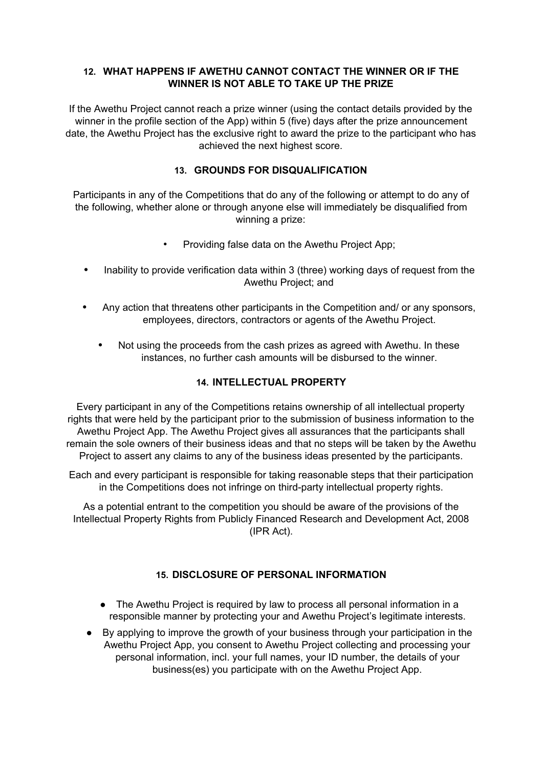### **12. WHAT HAPPENS IF AWETHU CANNOT CONTACT THE WINNER OR IF THE WINNER IS NOT ABLE TO TAKE UP THE PRIZE**

If the Awethu Project cannot reach a prize winner (using the contact details provided by the winner in the profile section of the App) within 5 (five) days after the prize announcement date, the Awethu Project has the exclusive right to award the prize to the participant who has achieved the next highest score.

### **13. GROUNDS FOR DISQUALIFICATION**

Participants in any of the Competitions that do any of the following or attempt to do any of the following, whether alone or through anyone else will immediately be disqualified from winning a prize:

- Providing false data on the Awethu Project App;
- **•** Inability to provide verification data within 3 (three) working days of request from the Awethu Project; and
- **•** Any action that threatens other participants in the Competition and/ or any sponsors, employees, directors, contractors or agents of the Awethu Project.
	- **•** Not using the proceeds from the cash prizes as agreed with Awethu. In these instances, no further cash amounts will be disbursed to the winner.

### **14. INTELLECTUAL PROPERTY**

Every participant in any of the Competitions retains ownership of all intellectual property rights that were held by the participant prior to the submission of business information to the Awethu Project App. The Awethu Project gives all assurances that the participants shall remain the sole owners of their business ideas and that no steps will be taken by the Awethu Project to assert any claims to any of the business ideas presented by the participants.

Each and every participant is responsible for taking reasonable steps that their participation in the Competitions does not infringe on third-party intellectual property rights.

As a potential entrant to the competition you should be aware of the provisions of the Intellectual Property Rights from Publicly Financed Research and Development Act, 2008 (IPR Act).

# **15. DISCLOSURE OF PERSONAL INFORMATION**

- The Awethu Project is required by law to process all personal information in a responsible manner by protecting your and Awethu Project's legitimate interests.
- By applying to improve the growth of your business through your participation in the Awethu Project App, you consent to Awethu Project collecting and processing your personal information, incl. your full names, your ID number, the details of your business(es) you participate with on the Awethu Project App.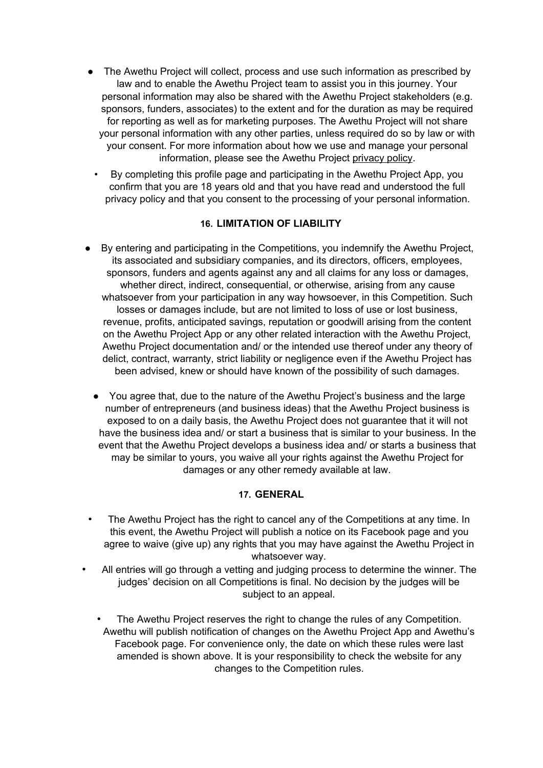- The Awethu Project will collect, process and use such information as prescribed by law and to enable the Awethu Project team to assist you in this journey. Your personal information may also be shared with the Awethu Project stakeholders (e.g. sponsors, funders, associates) to the extent and for the duration as may be required for reporting as well as for marketing purposes. The Awethu Project will not share your personal information with any other parties, unless required do so by law or with your consent. For more information about how we use and manage your personal information, please see the Awethu Project privacy policy.
	- By completing this profile page and participating in the Awethu Project App, you confirm that you are 18 years old and that you have read and understood the full privacy policy and that you consent to the processing of your personal information.

### **16. LIMITATION OF LIABILITY**

- By entering and participating in the Competitions, you indemnify the Awethu Project, its associated and subsidiary companies, and its directors, officers, employees, sponsors, funders and agents against any and all claims for any loss or damages, whether direct, indirect, consequential, or otherwise, arising from any cause whatsoever from your participation in any way howsoever, in this Competition. Such losses or damages include, but are not limited to loss of use or lost business, revenue, profits, anticipated savings, reputation or goodwill arising from the content on the Awethu Project App or any other related interaction with the Awethu Project, Awethu Project documentation and/ or the intended use thereof under any theory of delict, contract, warranty, strict liability or negligence even if the Awethu Project has been advised, knew or should have known of the possibility of such damages.
- You agree that, due to the nature of the Awethu Project's business and the large number of entrepreneurs (and business ideas) that the Awethu Project business is exposed to on a daily basis, the Awethu Project does not guarantee that it will not have the business idea and/ or start a business that is similar to your business. In the event that the Awethu Project develops a business idea and/ or starts a business that may be similar to yours, you waive all your rights against the Awethu Project for damages or any other remedy available at law.

### **17. GENERAL**

- The Awethu Project has the right to cancel any of the Competitions at any time. In this event, the Awethu Project will publish a notice on its Facebook page and you agree to waive (give up) any rights that you may have against the Awethu Project in whatsoever way.
- All entries will go through a vetting and judging process to determine the winner. The judges' decision on all Competitions is final. No decision by the judges will be subject to an appeal.
	- The Awethu Project reserves the right to change the rules of any Competition. Awethu will publish notification of changes on the Awethu Project App and Awethu's Facebook page. For convenience only, the date on which these rules were last amended is shown above. It is your responsibility to check the website for any changes to the Competition rules.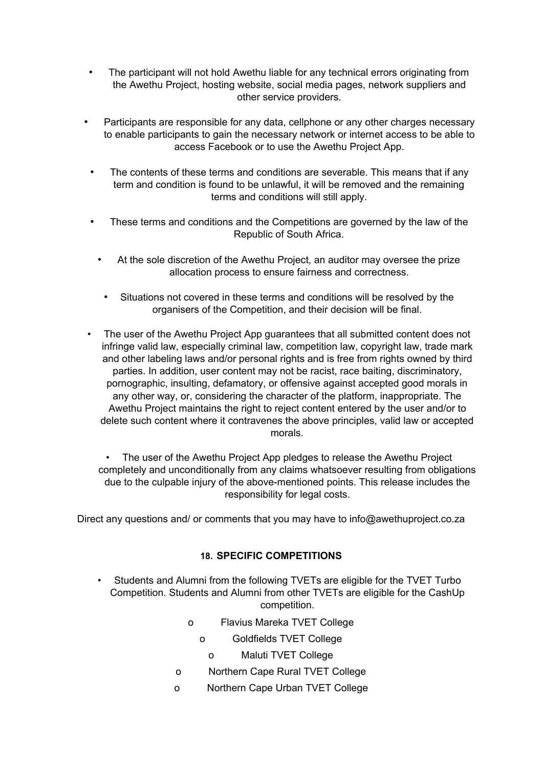- The participant will not hold Awethu liable for any technical errors originating from the Awethu Project, hosting website, social media pages, network suppliers and other service providers.
- Participants are responsible for any data, cellphone or any other charges necessary to enable participants to gain the necessary network or internet access to be able to access Facebook or to use the Awethu Project App.
- The contents of these terms and conditions are severable. This means that if any term and condition is found to be unlawful, it will be removed and the remaining terms and conditions will still apply.
- These terms and conditions and the Competitions are governed by the law of the Republic of South Africa.
	- At the sole discretion of the Awethu Project, an auditor may oversee the prize allocation process to ensure fairness and correctness.
		- Situations not covered in these terms and conditions will be resolved by the organisers of the Competition, and their decision will be final.
- The user of the Awethu Project App guarantees that all submitted content does not infringe valid law, especially criminal law, competition law, copyright law, trade mark and other labeling laws and/or personal rights and is free from rights owned by third parties. In addition, user content may not be racist, race baiting, discriminatory, pornographic, insulting, defamatory, or offensive against accepted good morals in any other way, or, considering the character of the platform, inappropriate. The Awethu Project maintains the right to reject content entered by the user and/or to delete such content where it contravenes the above principles, valid law or accepted morals.

The user of the Awethu Project App pledges to release the Awethu Project completely and unconditionally from any claims whatsoever resulting from obligations due to the culpable injury of the above-mentioned points. This release includes the responsibility for legal costs.

Direct any questions and/ or comments that you may have to info@awethuproject.co.za

### **18. SPECIFIC COMPETITIONS**

- Students and Alumni from the following TVETs are eligible for the TVET Turbo Competition. Students and Alumni from other TVETs are eligible for the CashUp competition.
	- o Flavius Mareka TVET College
		- o Goldfields TVET College
			- o Maluti TVET College
	- o Northern Cape Rural TVET College
	- o Northern Cape Urban TVET College